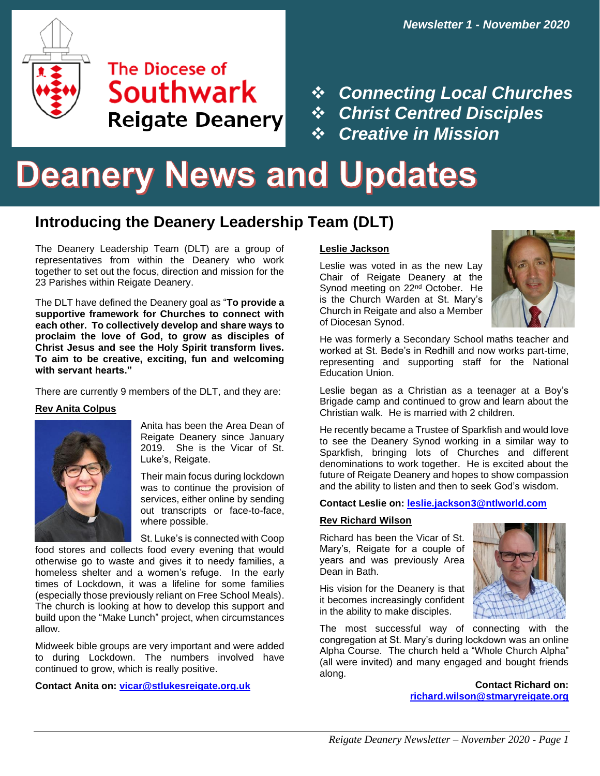

### **The Diocese of Southwark Reigate Deanery**

❖ *Connecting Local Churches* ❖ *Christ Centred Disciples* ❖ *Creative in Mission*

# **Deanery News and Updates**

### **Introducing the Deanery Leadership Team (DLT)**

The Deanery Leadership Team (DLT) are a group of representatives from within the Deanery who work together to set out the focus, direction and mission for the 23 Parishes within Reigate Deanery.

The DLT have defined the Deanery goal as "**To provide a supportive framework for Churches to connect with each other. To collectively develop and share ways to proclaim the love of God, to grow as disciples of Christ Jesus and see the Holy Spirit transform lives. To aim to be creative, exciting, fun and welcoming with servant hearts."**

There are currently 9 members of the DLT, and they are:

#### **Rev Anita Colpus**



Anita has been the Area Dean of Reigate Deanery since January 2019. She is the Vicar of St. Luke's, Reigate.

Their main focus during lockdown was to continue the provision of services, either online by sending out transcripts or face-to-face, where possible.

St. Luke's is connected with Coop

food stores and collects food every evening that would otherwise go to waste and gives it to needy families, a homeless shelter and a women's refuge. In the early times of Lockdown, it was a lifeline for some families (especially those previously reliant on Free School Meals). The church is looking at how to develop this support and build upon the "Make Lunch" project, when circumstances allow.

Midweek bible groups are very important and were added to during Lockdown. The numbers involved have continued to grow, which is really positive.

**Contact Anita on: [vicar@stlukesreigate.org.uk](mailto:vicar@stlukesreigate.org.uk)**

#### **Leslie Jackson**

Leslie was voted in as the new Lay Chair of Reigate Deanery at the Synod meeting on 22<sup>nd</sup> October. He is the Church Warden at St. Mary's Church in Reigate and also a Member of Diocesan Synod.



He was formerly a Secondary School maths teacher and worked at St. Bede's in Redhill and now works part-time, representing and supporting staff for the National Education Union.

Leslie began as a Christian as a teenager at a Boy's Brigade camp and continued to grow and learn about the Christian walk. He is married with 2 children.

He recently became a Trustee of Sparkfish and would love to see the Deanery Synod working in a similar way to Sparkfish, bringing lots of Churches and different denominations to work together. He is excited about the future of Reigate Deanery and hopes to show compassion and the ability to listen and then to seek God's wisdom.

**Contact Leslie on: [leslie.jackson3@ntlworld.com](mailto:leslie.jackson3@ntlworld.com)**

#### **Rev Richard Wilson**

Richard has been the Vicar of St. Mary's, Reigate for a couple of years and was previously Area Dean in Bath.

His vision for the Deanery is that it becomes increasingly confident in the ability to make disciples.



The most successful way of connecting with the congregation at St. Mary's during lockdown was an online Alpha Course. The church held a "Whole Church Alpha" (all were invited) and many engaged and bought friends along.

**Contact Richard on: [richard.wilson@stmaryreigate.org](mailto:richard.wilson@stmaryreigate.org)**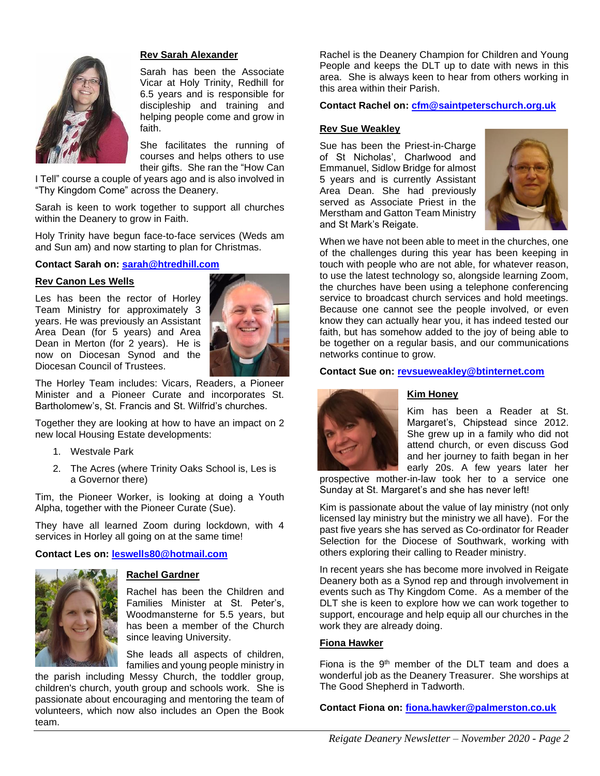

#### **Rev Sarah Alexander**

Sarah has been the Associate Vicar at Holy Trinity, Redhill for 6.5 years and is responsible for discipleship and training and helping people come and grow in faith.

She facilitates the running of courses and helps others to use their gifts. She ran the "How Can

I Tell" course a couple of years ago and is also involved in "Thy Kingdom Come" across the Deanery.

Sarah is keen to work together to support all churches within the Deanery to grow in Faith.

Holy Trinity have begun face-to-face services (Weds am and Sun am) and now starting to plan for Christmas.

#### **Contact Sarah on: [sarah@htredhill.com](mailto:sarah@htredhill.com)**

#### **Rev Canon Les Wells**

Les has been the rector of Horley Team Ministry for approximately 3 years. He was previously an Assistant Area Dean (for 5 years) and Area Dean in Merton (for 2 years). He is now on Diocesan Synod and the Diocesan Council of Trustees.



The Horley Team includes: Vicars, Readers, a Pioneer Minister and a Pioneer Curate and incorporates St. Bartholomew's, St. Francis and St. Wilfrid's churches.

Together they are looking at how to have an impact on 2 new local Housing Estate developments:

- 1. Westvale Park
- 2. The Acres (where Trinity Oaks School is, Les is a Governor there)

Tim, the Pioneer Worker, is looking at doing a Youth Alpha, together with the Pioneer Curate (Sue).

They have all learned Zoom during lockdown, with 4 services in Horley all going on at the same time!

#### **Contact Les on: [leswells80@hotmail.com](mailto:leswells80@hotmail.com)**



#### **Rachel Gardner**

Rachel has been the Children and Families Minister at St. Peter's, Woodmansterne for 5.5 years, but has been a member of the Church since leaving University.

She leads all aspects of children, families and young people ministry in

the parish including Messy Church, the toddler group, children's church, youth group and schools work. She is passionate about encouraging and mentoring the team of volunteers, which now also includes an Open the Book team.

Rachel is the Deanery Champion for Children and Young People and keeps the DLT up to date with news in this area. She is always keen to hear from others working in this area within their Parish.

#### **Contact Rachel on: [cfm@saintpeterschurch.org.uk](mailto:cfm@saintpeterschurch.org.uk)**

#### **Rev Sue Weakley**

Sue has been the Priest-in-Charge of St Nicholas', Charlwood and Emmanuel, Sidlow Bridge for almost 5 years and is currently Assistant Area Dean. She had previously served as Associate Priest in the Merstham and Gatton Team Ministry and St Mark's Reigate.



When we have not been able to meet in the churches, one of the challenges during this year has been keeping in touch with people who are not able, for whatever reason, to use the latest technology so, alongside learning Zoom, the churches have been using a telephone conferencing service to broadcast church services and hold meetings. Because one cannot see the people involved, or even know they can actually hear you, it has indeed tested our faith, but has somehow added to the joy of being able to be together on a regular basis, and our communications networks continue to grow.

#### **Contact Sue on: [revsueweakley@btinternet.com](mailto:revsueweakley@btinternet.com)**



#### **Kim Honey**

Kim has been a Reader at St. Margaret's, Chipstead since 2012. She grew up in a family who did not attend church, or even discuss God and her journey to faith began in her early 20s. A few years later her

prospective mother-in-law took her to a service one Sunday at St. Margaret's and she has never left!

Kim is passionate about the value of lay ministry (not only licensed lay ministry but the ministry we all have). For the past five years she has served as Co-ordinator for Reader Selection for the Diocese of Southwark, working with others exploring their calling to Reader ministry.

In recent years she has become more involved in Reigate Deanery both as a Synod rep and through involvement in events such as Thy Kingdom Come. As a member of the DLT she is keen to explore how we can work together to support, encourage and help equip all our churches in the work they are already doing.

#### **Fiona Hawker**

Fiona is the  $9<sup>th</sup>$  member of the DLT team and does a wonderful job as the Deanery Treasurer. She worships at The Good Shepherd in Tadworth.

**Contact Fiona on: [fiona.hawker@palmerston.co.uk](mailto:fiona.hawker@palmerston.co.uk)**